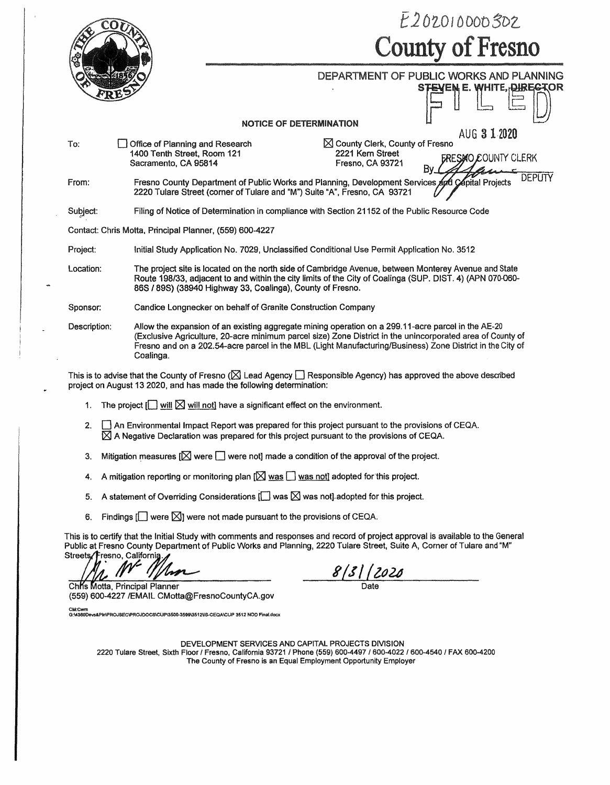|                               |                                                                                        |                                                                                              |                                                                                                                                                                                                                   | E202010000302                                                                                                                                                                                                           |  |  |  |  |
|-------------------------------|----------------------------------------------------------------------------------------|----------------------------------------------------------------------------------------------|-------------------------------------------------------------------------------------------------------------------------------------------------------------------------------------------------------------------|-------------------------------------------------------------------------------------------------------------------------------------------------------------------------------------------------------------------------|--|--|--|--|
|                               |                                                                                        | <b>County of Fresno</b>                                                                      |                                                                                                                                                                                                                   |                                                                                                                                                                                                                         |  |  |  |  |
|                               |                                                                                        |                                                                                              |                                                                                                                                                                                                                   | DEPARTMENT OF PUBLIC WORKS AND PLANNING<br><b>STEVEM E. WHITE, DIREGTOR</b>                                                                                                                                             |  |  |  |  |
|                               |                                                                                        | <b>NOTICE OF DETERMINATION</b>                                                               |                                                                                                                                                                                                                   |                                                                                                                                                                                                                         |  |  |  |  |
| To:                           | Office of Planning and Research<br>1400 Tenth Street, Room 121<br>Sacramento, CA 95814 |                                                                                              | $\boxtimes$ County Clerk, County of Fresno<br>2221 Kern Street<br>Fresno, CA 93721                                                                                                                                | AUG 3 1 2020<br>SMO COUNTY CLERK                                                                                                                                                                                        |  |  |  |  |
| From:                         |                                                                                        |                                                                                              | Fresno County Department of Public Works and Planning, Development Services And Capital Projects<br>2220 Tulare Street (corner of Tulare and "M") Suite "A", Fresno, CA 93721                                     | DEPUTY                                                                                                                                                                                                                  |  |  |  |  |
| Subject:                      |                                                                                        |                                                                                              | Filing of Notice of Determination in compliance with Section 21152 of the Public Resource Code                                                                                                                    |                                                                                                                                                                                                                         |  |  |  |  |
|                               | Contact: Chris Motta, Principal Planner, (559) 600-4227                                |                                                                                              |                                                                                                                                                                                                                   |                                                                                                                                                                                                                         |  |  |  |  |
| Project:                      |                                                                                        | Initial Study Application No. 7029, Unclassified Conditional Use Permit Application No. 3512 |                                                                                                                                                                                                                   |                                                                                                                                                                                                                         |  |  |  |  |
| Location:                     |                                                                                        | 86S / 89S) (38940 Highway 33, Coalinga), County of Fresno.                                   | The project site is located on the north side of Cambridge Avenue, between Monterey Avenue and State<br>Route 198/33, adjacent to and within the city limits of the City of Coalinga (SUP. DIST. 4) (APN 070-060- |                                                                                                                                                                                                                         |  |  |  |  |
| Sponsor:                      |                                                                                        | Candice Longnecker on behalf of Granite Construction Company                                 |                                                                                                                                                                                                                   |                                                                                                                                                                                                                         |  |  |  |  |
| Description:                  | Coalinga.                                                                              |                                                                                              | Allow the expansion of an existing aggregate mining operation on a 299.11-acre parcel in the AE-20                                                                                                                | (Exclusive Agriculture, 20-acre minimum parcel size) Zone District in the unincorporated area of County of<br>Fresno and on a 202.54-acre parcel in the MBL (Light Manufacturing/Business) Zone District in the City of |  |  |  |  |
|                               |                                                                                        | project on August 13 2020, and has made the following determination:                         | This is to advise that the County of Fresno ( $\boxtimes$ Lead Agency $\Box$ Responsible Agency) has approved the above described                                                                                 |                                                                                                                                                                                                                         |  |  |  |  |
| 1.                            |                                                                                        | The project $\Box$ will $\boxtimes$ will not] have a significant effect on the environment.  |                                                                                                                                                                                                                   |                                                                                                                                                                                                                         |  |  |  |  |
| 2.                            |                                                                                        |                                                                                              | An Environmental Impact Report was prepared for this project pursuant to the provisions of CEQA.<br>$\boxtimes$ A Negative Declaration was prepared for this project pursuant to the provisions of CEQA.          |                                                                                                                                                                                                                         |  |  |  |  |
| 3.                            |                                                                                        |                                                                                              | Mitigation measures $[\triangle]$ were $\Box$ were not] made a condition of the approval of the project.                                                                                                          |                                                                                                                                                                                                                         |  |  |  |  |
| 4.                            |                                                                                        |                                                                                              | A mitigation reporting or monitoring plan $[\boxtimes]$ was $\Box$ was not] adopted for this project.                                                                                                             |                                                                                                                                                                                                                         |  |  |  |  |
| 5.                            |                                                                                        |                                                                                              | A statement of Overriding Considerations $\Box$ was $\boxtimes$ was not] adopted for this project.                                                                                                                |                                                                                                                                                                                                                         |  |  |  |  |
| 6.                            |                                                                                        | Findings $[\Box]$ were $[\Box]$ were not made pursuant to the provisions of CEQA.            |                                                                                                                                                                                                                   |                                                                                                                                                                                                                         |  |  |  |  |
| Streets/Fresno, California.   |                                                                                        |                                                                                              | Public at Fresno County Department of Public Works and Planning, 2220 Tulare Street, Suite A, Corner of Tulare and "M"                                                                                            | This is to certify that the Initial Study with comments and responses and record of project approval is available to the General                                                                                        |  |  |  |  |
|                               | 'lsp                                                                                   |                                                                                              | 8   3     2020                                                                                                                                                                                                    |                                                                                                                                                                                                                         |  |  |  |  |
| Chis Motta, Principal Planner | (559) 600-4227 /EMAIL CMotta@FresnoCountyCA.gov                                        |                                                                                              |                                                                                                                                                                                                                   |                                                                                                                                                                                                                         |  |  |  |  |

CM:Cwm<br>G:W380Devs&PInPROJSEC/PROJDOCS/CUP\3500-3599\3512\IS-CEQA\CUP 3512 NOD Final.docx

 $\rightarrow$ 

DEVELOPMENT SERVICES AND CAPITAL PROJECTS DIVISION 2220 Tulare Street, Sixth Floor / Fresno, California 93721 / Phone (559) 600-4497 / 600-4022 / 600-4540 / FAX 600-4200 The County of Fresno is an Equal Employment Opportunity Employer